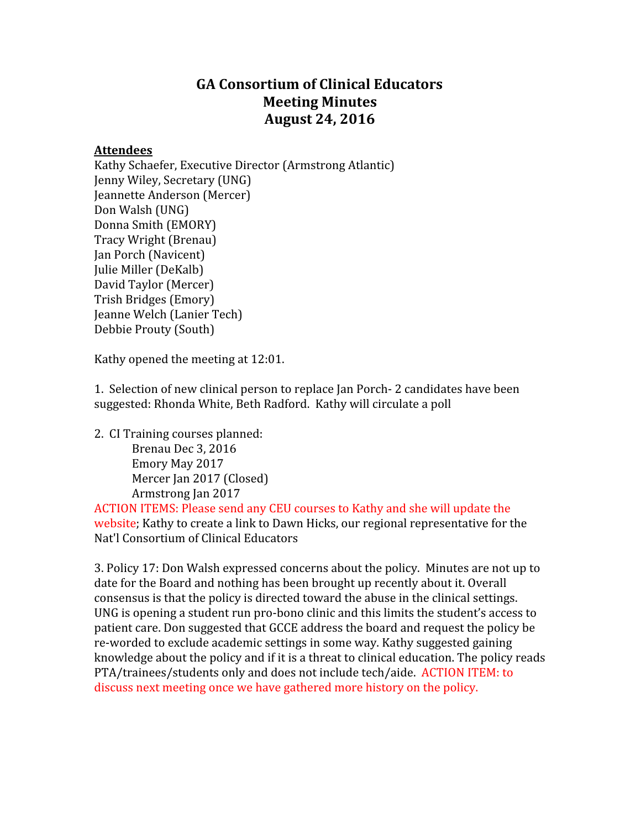# GA Consortium of Clinical Educators Meeting Minutes August 24, 2016

## Attendees

Kathy Schaefer, Executive Director (Armstrong Atlantic) Jenny Wiley, Secretary (UNG) Jeannette Anderson (Mercer) Don Walsh (UNG) Donna Smith (EMORY) Tracy Wright (Brenau) Jan Porch (Navicent) Julie Miller (DeKalb) David Taylor (Mercer) Trish Bridges (Emory) Jeanne Welch (Lanier Tech) Debbie Prouty (South)

Kathy opened the meeting at 12:01.

1. Selection of new clinical person to replace Jan Porch 2 candidates have been suggested: Rhonda White, Beth Radford. Kathy will circulate a poll

2. CI Training courses planned: Brenau Dec 3, 2016 Emory May 2017 Mercer Jan 2017 (Closed) Armstrong Jan 2017

ACTION ITEMS: Please send any CEU courses to Kathy and she will update the website; Kathy to create a link to Dawn Hicks, our regional representative for the Nat'l Consortium of Clinical Educators

3. Policy 17: Don Walsh expressed concerns about the policy. Minutes are not up to date for the Board and nothing has been brought up recently about it. Overall consensus is that the policy is directed toward the abuse in the clinical settings. UNG is opening a student run pro-bono clinic and this limits the student's access to patient care. Don suggested that GCCE address the board and request the policy be re-worded to exclude academic settings in some way. Kathy suggested gaining knowledge about the policy and if it is a threat to clinical education. The policy reads PTA/trainees/students only and does not include tech/aide. ACTION ITEM: to discuss next meeting once we have gathered more history on the policy.